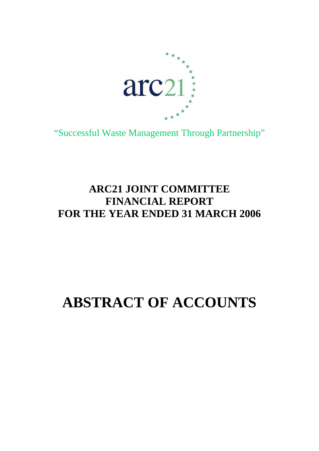

"Successful Waste Management Through Partnership"

# **ARC21 JOINT COMMITTEE FINANCIAL REPORT FOR THE YEAR ENDED 31 MARCH 2006**

# **ABSTRACT OF ACCOUNTS**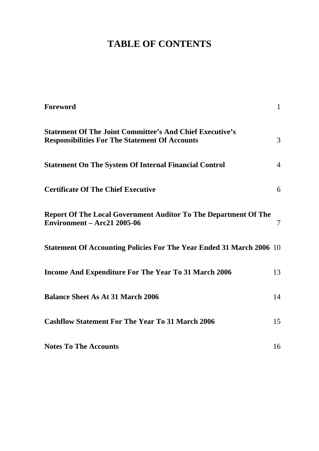# **TABLE OF CONTENTS**

| Foreword                                                                                                                 | $\mathbf{1}$   |
|--------------------------------------------------------------------------------------------------------------------------|----------------|
| <b>Statement Of The Joint Committee's And Chief Executive's</b><br><b>Responsibilities For The Statement Of Accounts</b> | 3              |
| <b>Statement On The System Of Internal Financial Control</b>                                                             | $\overline{4}$ |
| <b>Certificate Of The Chief Executive</b>                                                                                | 6              |
| <b>Report Of The Local Government Auditor To The Department Of The</b><br><b>Environment – Arc21 2005-06</b>             | 7              |
| <b>Statement Of Accounting Policies For The Year Ended 31 March 2006</b> 10                                              |                |
| <b>Income And Expenditure For The Year To 31 March 2006</b>                                                              | 13             |
| <b>Balance Sheet As At 31 March 2006</b>                                                                                 | 14             |
| <b>Cashflow Statement For The Year To 31 March 2006</b>                                                                  | 15             |
| <b>Notes To The Accounts</b>                                                                                             | 16             |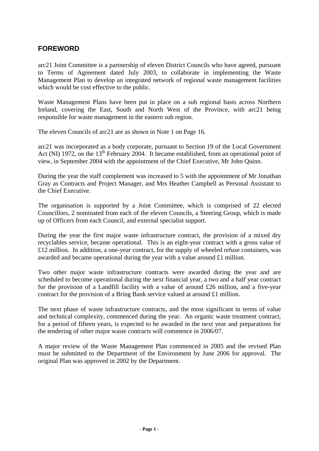# <span id="page-2-0"></span>**FOREWORD**

arc21 Joint Committee is a partnership of eleven District Councils who have agreed, pursuant to Terms of Agreement dated July 2003, to collaborate in implementing the Waste Management Plan to develop an integrated network of regional waste management facilities which would be cost effective to the public.

Waste Management Plans have been put in place on a sub regional basis across Northern Ireland, covering the East, South and North West of the Province, with arc21 being responsible for waste management in the eastern sub region.

The eleven Councils of arc21 are as shown in Note 1 on Page 16.

arc21 was incorporated as a body corporate, pursuant to Section 19 of the Local Government Act (NI) 1972, on the  $13<sup>th</sup>$  February 2004. It became established, from an operational point of view, in September 2004 with the appointment of the Chief Executive, Mr John Quinn.

During the year the staff complement was increased to 5 with the appointment of Mr Jonathan Gray as Contracts and Project Manager, and Mrs Heather Campbell as Personal Assistant to the Chief Executive.

The organisation is supported by a Joint Committee, which is comprised of 22 elected Councillors, 2 nominated from each of the eleven Councils, a Steering Group, which is made up of Officers from each Council, and external specialist support.

During the year the first major waste infrastructure contract, the provision of a mixed dry recyclables service, became operational. This is an eight-year contract with a gross value of £12 million. In addition, a one-year contract, for the supply of wheeled refuse containers, was awarded and became operational during the year with a value around £1 million.

Two other major waste infrastructure contracts were awarded during the year and are scheduled to become operational during the next financial year, a two and a half year contract for the provision of a Landfill facility with a value of around £26 million, and a five-year contract for the provision of a Bring Bank service valued at around £1 million.

The next phase of waste infrastructure contracts, and the most significant in terms of value and technical complexity, commenced during the year. An organic waste treatment contract, for a period of fifteen years, is expected to be awarded in the next year and preparations for the tendering of other major waste contracts will commence in 2006/07.

A major review of the Waste Management Plan commenced in 2005 and the revised Plan must be submitted to the Department of the Environment by June 2006 for approval. The original Plan was approved in 2002 by the Department.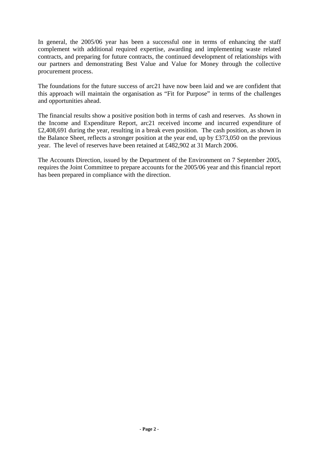In general, the 2005/06 year has been a successful one in terms of enhancing the staff complement with additional required expertise, awarding and implementing waste related contracts, and preparing for future contracts, the continued development of relationships with our partners and demonstrating Best Value and Value for Money through the collective procurement process.

The foundations for the future success of arc21 have now been laid and we are confident that this approach will maintain the organisation as "Fit for Purpose" in terms of the challenges and opportunities ahead.

The financial results show a positive position both in terms of cash and reserves. As shown in the Income and Expenditure Report, arc21 received income and incurred expenditure of £2,408,691 during the year, resulting in a break even position. The cash position, as shown in the Balance Sheet, reflects a stronger position at the year end, up by £373,050 on the previous year. The level of reserves have been retained at £482,902 at 31 March 2006.

The Accounts Direction, issued by the Department of the Environment on 7 September 2005, requires the Joint Committee to prepare accounts for the 2005/06 year and this financial report has been prepared in compliance with the direction.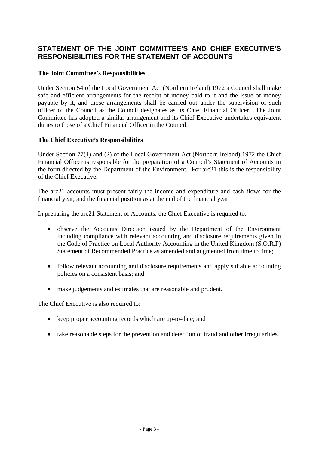# <span id="page-4-0"></span>**STATEMENT OF THE JOINT COMMITTEE'S AND CHIEF EXECUTIVE'S RESPONSIBILITIES FOR THE STATEMENT OF ACCOUNTS**

#### **The Joint Committee's Responsibilities**

Under Section 54 of the Local Government Act (Northern Ireland) 1972 a Council shall make safe and efficient arrangements for the receipt of money paid to it and the issue of money payable by it, and those arrangements shall be carried out under the supervision of such officer of the Council as the Council designates as its Chief Financial Officer. The Joint Committee has adopted a similar arrangement and its Chief Executive undertakes equivalent duties to those of a Chief Financial Officer in the Council.

#### **The Chief Executive's Responsibilities**

Under Section 77(1) and (2) of the Local Government Act (Northern Ireland) 1972 the Chief Financial Officer is responsible for the preparation of a Council's Statement of Accounts in the form directed by the Department of the Environment. For arc21 this is the responsibility of the Chief Executive.

The arc21 accounts must present fairly the income and expenditure and cash flows for the financial year, and the financial position as at the end of the financial year.

In preparing the arc21 Statement of Accounts, the Chief Executive is required to:

- observe the Accounts Direction issued by the Department of the Environment including compliance with relevant accounting and disclosure requirements given in the Code of Practice on Local Authority Accounting in the United Kingdom (S.O.R.P) Statement of Recommended Practice as amended and augmented from time to time;
- follow relevant accounting and disclosure requirements and apply suitable accounting policies on a consistent basis; and
- make judgements and estimates that are reasonable and prudent.

The Chief Executive is also required to:

- keep proper accounting records which are up-to-date; and
- take reasonable steps for the prevention and detection of fraud and other irregularities.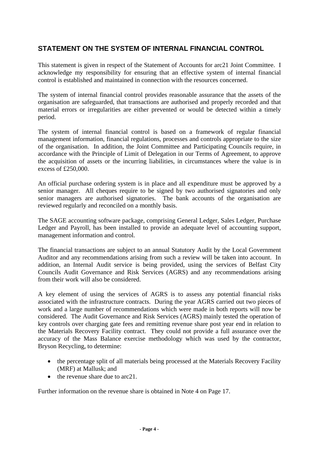# <span id="page-5-0"></span>**STATEMENT ON THE SYSTEM OF INTERNAL FINANCIAL CONTROL**

This statement is given in respect of the Statement of Accounts for arc21 Joint Committee. I acknowledge my responsibility for ensuring that an effective system of internal financial control is established and maintained in connection with the resources concerned.

The system of internal financial control provides reasonable assurance that the assets of the organisation are safeguarded, that transactions are authorised and properly recorded and that material errors or irregularities are either prevented or would be detected within a timely period.

The system of internal financial control is based on a framework of regular financial management information, financial regulations, processes and controls appropriate to the size of the organisation. In addition, the Joint Committee and Participating Councils require, in accordance with the Principle of Limit of Delegation in our Terms of Agreement, to approve the acquisition of assets or the incurring liabilities, in circumstances where the value is in excess of  $£250,000$ .

An official purchase ordering system is in place and all expenditure must be approved by a senior manager. All cheques require to be signed by two authorised signatories and only senior managers are authorised signatories. The bank accounts of the organisation are reviewed regularly and reconciled on a monthly basis.

The SAGE accounting software package, comprising General Ledger, Sales Ledger, Purchase Ledger and Payroll, has been installed to provide an adequate level of accounting support, management information and control.

The financial transactions are subject to an annual Statutory Audit by the Local Government Auditor and any recommendations arising from such a review will be taken into account. In addition, an Internal Audit service is being provided, using the services of Belfast City Councils Audit Governance and Risk Services (AGRS) and any recommendations arising from their work will also be considered.

A key element of using the services of AGRS is to assess any potential financial risks associated with the infrastructure contracts. During the year AGRS carried out two pieces of work and a large number of recommendations which were made in both reports will now be considered. The Audit Governance and Risk Services (AGRS) mainly tested the operation of key controls over charging gate fees and remitting revenue share post year end in relation to the Materials Recovery Facility contract. They could not provide a full assurance over the accuracy of the Mass Balance exercise methodology which was used by the contractor, Bryson Recycling, to determine:

- the percentage split of all materials being processed at the Materials Recovery Facility (MRF) at Mallusk; and
- the revenue share due to arc21.

Further information on the revenue share is obtained in Note 4 on Page 17.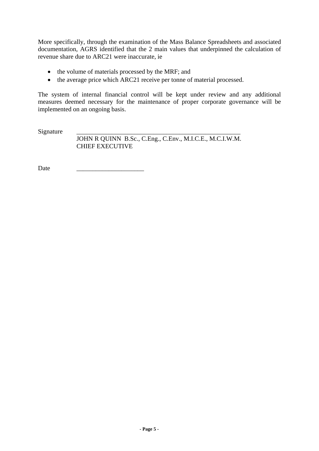More specifically, through the examination of the Mass Balance Spreadsheets and associated documentation, AGRS identified that the 2 main values that underpinned the calculation of revenue share due to ARC21 were inaccurate, ie

- the volume of materials processed by the MRF; and
- the average price which ARC21 receive per tonne of material processed.

The system of internal financial control will be kept under review and any additional measures deemed necessary for the maintenance of proper corporate governance will be implemented on an ongoing basis.

Signature

 JOHN R QUINN B.Sc., C.Eng., C.Env., M.I.C.E., M.C.I.W.M. CHIEF EXECUTIVE

Date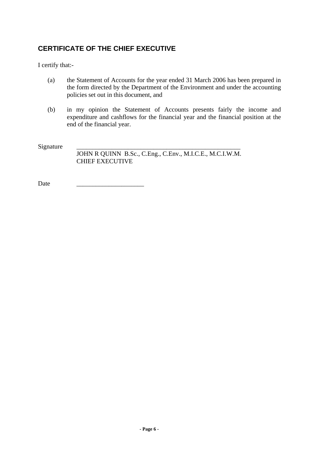# <span id="page-7-0"></span>**CERTIFICATE OF THE CHIEF EXECUTIVE**

I certify that:-

- (a) the Statement of Accounts for the year ended 31 March 2006 has been prepared in the form directed by the Department of the Environment and under the accounting policies set out in this document, and
- (b) in my opinion the Statement of Accounts presents fairly the income and expenditure and cashflows for the financial year and the financial position at the end of the financial year.

Signature

 JOHN R QUINN B.Sc., C.Eng., C.Env., M.I.C.E., M.C.I.W.M. CHIEF EXECUTIVE

Date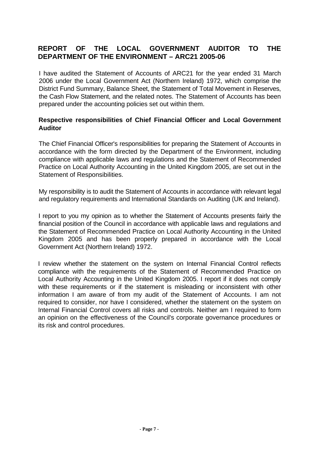# <span id="page-8-0"></span>**REPORT OF THE LOCAL GOVERNMENT AUDITOR TO THE DEPARTMENT OF THE ENVIRONMENT – ARC21 2005-06**

I have audited the Statement of Accounts of ARC21 for the year ended 31 March 2006 under the Local Government Act (Northern Ireland) 1972, which comprise the District Fund Summary, Balance Sheet, the Statement of Total Movement in Reserves, the Cash Flow Statement, and the related notes. The Statement of Accounts has been prepared under the accounting policies set out within them.

#### **Respective responsibilities of Chief Financial Officer and Local Government Auditor**

The Chief Financial Officer's responsibilities for preparing the Statement of Accounts in accordance with the form directed by the Department of the Environment, including compliance with applicable laws and regulations and the Statement of Recommended Practice on Local Authority Accounting in the United Kingdom 2005, are set out in the Statement of Responsibilities.

My responsibility is to audit the Statement of Accounts in accordance with relevant legal and regulatory requirements and International Standards on Auditing (UK and Ireland).

I report to you my opinion as to whether the Statement of Accounts presents fairly the financial position of the Council in accordance with applicable laws and regulations and the Statement of Recommended Practice on Local Authority Accounting in the United Kingdom 2005 and has been properly prepared in accordance with the Local Government Act (Northern Ireland) 1972.

I review whether the statement on the system on Internal Financial Control reflects compliance with the requirements of the Statement of Recommended Practice on Local Authority Accounting in the United Kingdom 2005. I report if it does not comply with these requirements or if the statement is misleading or inconsistent with other information I am aware of from my audit of the Statement of Accounts. I am not required to consider, nor have I considered, whether the statement on the system on Internal Financial Control covers all risks and controls. Neither am I required to form an opinion on the effectiveness of the Council's corporate governance procedures or its risk and control procedures.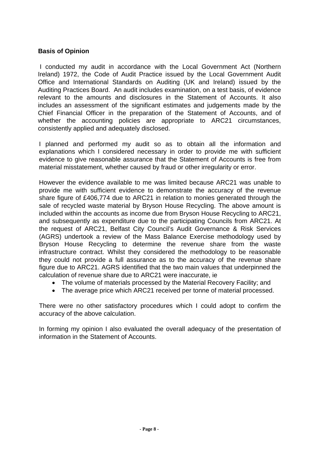#### **Basis of Opinion**

 I conducted my audit in accordance with the Local Government Act (Northern Ireland) 1972, the Code of Audit Practice issued by the Local Government Audit Office and International Standards on Auditing (UK and Ireland) issued by the Auditing Practices Board. An audit includes examination, on a test basis, of evidence relevant to the amounts and disclosures in the Statement of Accounts. It also includes an assessment of the significant estimates and judgements made by the Chief Financial Officer in the preparation of the Statement of Accounts, and of whether the accounting policies are appropriate to ARC21 circumstances, consistently applied and adequately disclosed.

I planned and performed my audit so as to obtain all the information and explanations which I considered necessary in order to provide me with sufficient evidence to give reasonable assurance that the Statement of Accounts is free from material misstatement, whether caused by fraud or other irregularity or error.

However the evidence available to me was limited because ARC21 was unable to provide me with sufficient evidence to demonstrate the accuracy of the revenue share figure of £406,774 due to ARC21 in relation to monies generated through the sale of recycled waste material by Bryson House Recycling. The above amount is included within the accounts as income due from Bryson House Recycling to ARC21, and subsequently as expenditure due to the participating Councils from ARC21. At the request of ARC21, Belfast City Council's Audit Governance & Risk Services (AGRS) undertook a review of the Mass Balance Exercise methodology used by Bryson House Recycling to determine the revenue share from the waste infrastructure contract. Whilst they considered the methodology to be reasonable they could not provide a full assurance as to the accuracy of the revenue share figure due to ARC21. AGRS identified that the two main values that underpinned the calculation of revenue share due to ARC21 were inaccurate, ie

- The volume of materials processed by the Material Recovery Facility; and
- The average price which ARC21 received per tonne of material processed.

There were no other satisfactory procedures which I could adopt to confirm the accuracy of the above calculation.

In forming my opinion I also evaluated the overall adequacy of the presentation of information in the Statement of Accounts.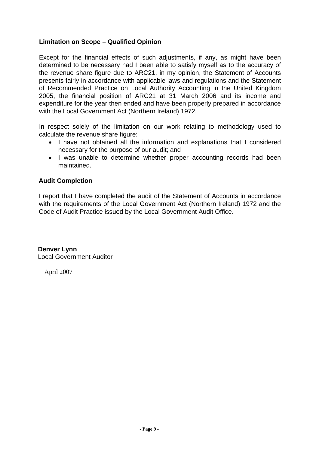## **Limitation on Scope – Qualified Opinion**

Except for the financial effects of such adjustments, if any, as might have been determined to be necessary had I been able to satisfy myself as to the accuracy of the revenue share figure due to ARC21, in my opinion, the Statement of Accounts presents fairly in accordance with applicable laws and regulations and the Statement of Recommended Practice on Local Authority Accounting in the United Kingdom 2005, the financial position of ARC21 at 31 March 2006 and its income and expenditure for the year then ended and have been properly prepared in accordance with the Local Government Act (Northern Ireland) 1972.

In respect solely of the limitation on our work relating to methodology used to calculate the revenue share figure:

- I have not obtained all the information and explanations that I considered necessary for the purpose of our audit; and
- I was unable to determine whether proper accounting records had been maintained.

#### **Audit Completion**

I report that I have completed the audit of the Statement of Accounts in accordance with the requirements of the Local Government Act (Northern Ireland) 1972 and the Code of Audit Practice issued by the Local Government Audit Office.

**Denver Lynn**  Local Government Auditor

April 2007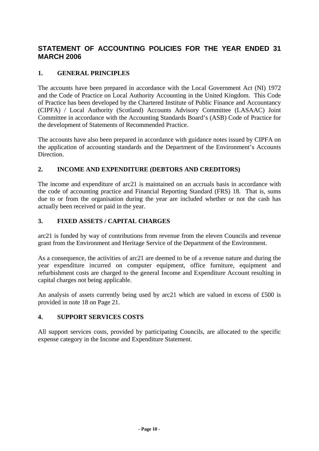# <span id="page-11-0"></span>**STATEMENT OF ACCOUNTING POLICIES FOR THE YEAR ENDED 31 MARCH 2006**

## **1. GENERAL PRINCIPLES**

The accounts have been prepared in accordance with the Local Government Act (NI) 1972 and the Code of Practice on Local Authority Accounting in the United Kingdom. This Code of Practice has been developed by the Chartered Institute of Public Finance and Accountancy (CIPFA) / Local Authority (Scotland) Accounts Advisory Committee (LASAAC) Joint Committee in accordance with the Accounting Standards Board's (ASB) Code of Practice for the development of Statements of Recommended Practice.

The accounts have also been prepared in accordance with guidance notes issued by CIPFA on the application of accounting standards and the Department of the Environment's Accounts Direction.

#### **2. INCOME AND EXPENDITURE (DEBTORS AND CREDITORS)**

The income and expenditure of arc21 is maintained on an accruals basis in accordance with the code of accounting practice and Financial Reporting Standard (FRS) 18. That is, sums due to or from the organisation during the year are included whether or not the cash has actually been received or paid in the year.

#### **3. FIXED ASSETS / CAPITAL CHARGES**

arc21 is funded by way of contributions from revenue from the eleven Councils and revenue grant from the Environment and Heritage Service of the Department of the Environment.

As a consequence, the activities of arc21 are deemed to be of a revenue nature and during the year expenditure incurred on computer equipment, office furniture, equipment and refurbishment costs are charged to the general Income and Expenditure Account resulting in capital charges not being applicable.

An analysis of assets currently being used by arc21 which are valued in excess of £500 is provided in note 18 on Page 21.

#### **4. SUPPORT SERVICES COSTS**

All support services costs, provided by participating Councils, are allocated to the specific expense category in the Income and Expenditure Statement.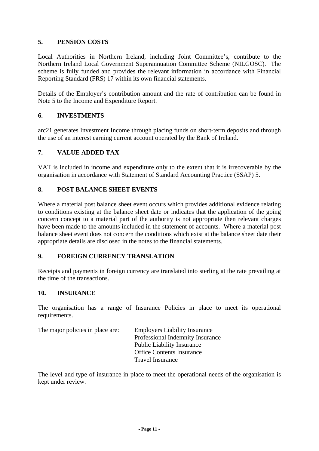#### **5. PENSION COSTS**

Local Authorities in Northern Ireland, including Joint Committee's, contribute to the Northern Ireland Local Government Superannuation Committee Scheme (NILGOSC). The scheme is fully funded and provides the relevant information in accordance with Financial Reporting Standard (FRS) 17 within its own financial statements.

Details of the Employer's contribution amount and the rate of contribution can be found in Note 5 to the Income and Expenditure Report.

#### **6. INVESTMENTS**

arc21 generates Investment Income through placing funds on short-term deposits and through the use of an interest earning current account operated by the Bank of Ireland.

#### **7. VALUE ADDED TAX**

VAT is included in income and expenditure only to the extent that it is irrecoverable by the organisation in accordance with Statement of Standard Accounting Practice (SSAP) 5.

#### **8. POST BALANCE SHEET EVENTS**

Where a material post balance sheet event occurs which provides additional evidence relating to conditions existing at the balance sheet date or indicates that the application of the going concern concept to a material part of the authority is not appropriate then relevant charges have been made to the amounts included in the statement of accounts. Where a material post balance sheet event does not concern the conditions which exist at the balance sheet date their appropriate details are disclosed in the notes to the financial statements.

#### **9. FOREIGN CURRENCY TRANSLATION**

Receipts and payments in foreign currency are translated into sterling at the rate prevailing at the time of the transactions.

#### **10. INSURANCE**

The organisation has a range of Insurance Policies in place to meet its operational requirements.

| The major policies in place are: | <b>Employers Liability Insurance</b> |
|----------------------------------|--------------------------------------|
|                                  | Professional Indemnity Insurance     |
|                                  | <b>Public Liability Insurance</b>    |
|                                  | <b>Office Contents Insurance</b>     |
|                                  | <b>Travel Insurance</b>              |

The level and type of insurance in place to meet the operational needs of the organisation is kept under review.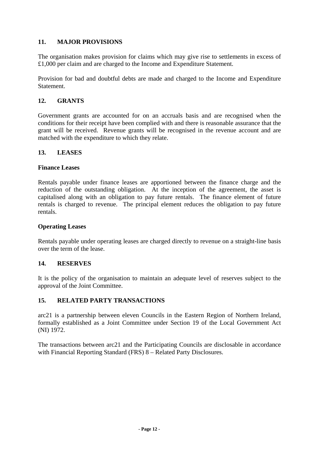#### **11. MAJOR PROVISIONS**

The organisation makes provision for claims which may give rise to settlements in excess of £1,000 per claim and are charged to the Income and Expenditure Statement.

Provision for bad and doubtful debts are made and charged to the Income and Expenditure Statement.

#### **12. GRANTS**

Government grants are accounted for on an accruals basis and are recognised when the conditions for their receipt have been complied with and there is reasonable assurance that the grant will be received. Revenue grants will be recognised in the revenue account and are matched with the expenditure to which they relate.

#### **13. LEASES**

#### **Finance Leases**

Rentals payable under finance leases are apportioned between the finance charge and the reduction of the outstanding obligation. At the inception of the agreement, the asset is capitalised along with an obligation to pay future rentals. The finance element of future rentals is charged to revenue. The principal element reduces the obligation to pay future rentals.

#### **Operating Leases**

Rentals payable under operating leases are charged directly to revenue on a straight-line basis over the term of the lease.

#### **14. RESERVES**

It is the policy of the organisation to maintain an adequate level of reserves subject to the approval of the Joint Committee.

#### **15. RELATED PARTY TRANSACTIONS**

arc21 is a partnership between eleven Councils in the Eastern Region of Northern Ireland, formally established as a Joint Committee under Section 19 of the Local Government Act (NI) 1972.

The transactions between arc21 and the Participating Councils are disclosable in accordance with Financial Reporting Standard (FRS) 8 – Related Party Disclosures.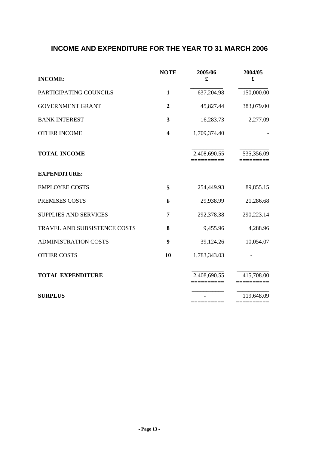# <span id="page-14-0"></span>**INCOME AND EXPENDITURE FOR THE YEAR TO 31 MARCH 2006**

| <b>INCOME:</b>               | <b>NOTE</b>             | 2005/06<br>£ | 2004/05<br>£             |
|------------------------------|-------------------------|--------------|--------------------------|
| PARTICIPATING COUNCILS       | $\mathbf{1}$            | 637,204.98   | 150,000.00               |
| <b>GOVERNMENT GRANT</b>      | $\overline{2}$          | 45,827.44    | 383,079.00               |
| <b>BANK INTEREST</b>         | 3                       | 16,283.73    | 2,277.09                 |
| <b>OTHER INCOME</b>          | $\overline{\mathbf{4}}$ | 1,709,374.40 |                          |
| <b>TOTAL INCOME</b>          |                         | 2,408,690.55 | 535,356.09               |
| <b>EXPENDITURE:</b>          |                         |              |                          |
| <b>EMPLOYEE COSTS</b>        | 5                       | 254,449.93   | 89,855.15                |
| PREMISES COSTS               | 6                       | 29,938.99    | 21,286.68                |
| <b>SUPPLIES AND SERVICES</b> | 7                       | 292,378.38   | 290,223.14               |
| TRAVEL AND SUBSISTENCE COSTS | 8                       | 9,455.96     | 4,288.96                 |
| <b>ADMINISTRATION COSTS</b>  | $\boldsymbol{9}$        | 39,124.26    | 10,054.07                |
| <b>OTHER COSTS</b>           | 10                      | 1,783,343.03 |                          |
| <b>TOTAL EXPENDITURE</b>     |                         | 2,408,690.55 | 415,708.00               |
| <b>SURPLUS</b>               |                         | =========    | 119,648.09<br>========== |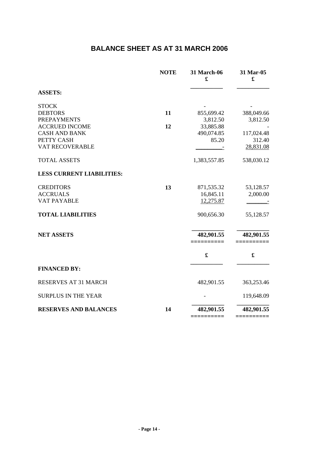# **BALANCE SHEET AS AT 31 MARCH 2006**

<span id="page-15-0"></span>

|                                             | <b>NOTE</b> | 31 March-06<br>£       | 31 Mar-05<br>£        |
|---------------------------------------------|-------------|------------------------|-----------------------|
| <b>ASSETS:</b>                              |             |                        |                       |
| <b>STOCK</b>                                |             |                        |                       |
| <b>DEBTORS</b>                              | 11          | 855,699.42             | 388,049.66            |
| <b>PREPAYMENTS</b><br><b>ACCRUED INCOME</b> | 12          | 3,812.50<br>33,885.88  | 3,812.50              |
| <b>CASH AND BANK</b>                        |             | 490,074.85             | 117,024.48            |
| PETTY CASH                                  |             | 85.20                  | 312.40                |
| VAT RECOVERABLE                             |             |                        | 28,831.08             |
| <b>TOTAL ASSETS</b>                         |             | 1,383,557.85           | 538,030.12            |
| <b>LESS CURRENT LIABILITIES:</b>            |             |                        |                       |
| <b>CREDITORS</b>                            | 13          | 871,535.32             | 53,128.57             |
| <b>ACCRUALS</b>                             |             | 16,845.11              | 2,000.00              |
| VAT PAYABLE                                 |             | 12,275.87              |                       |
| <b>TOTAL LIABILITIES</b>                    |             | 900,656.30             | 55,128.57             |
| <b>NET ASSETS</b>                           |             | 482,901.55<br>======   | 482,901.55            |
|                                             |             | $\mathbf f$            | $\pmb{\mathfrak{L}}$  |
| <b>FINANCED BY:</b>                         |             |                        |                       |
| RESERVES AT 31 MARCH                        |             | 482,901.55             | 363,253.46            |
| <b>SURPLUS IN THE YEAR</b>                  |             |                        | 119,648.09            |
| <b>RESERVES AND BALANCES</b>                | 14          | 482,901.55<br>======== | 482,901.55<br>——————— |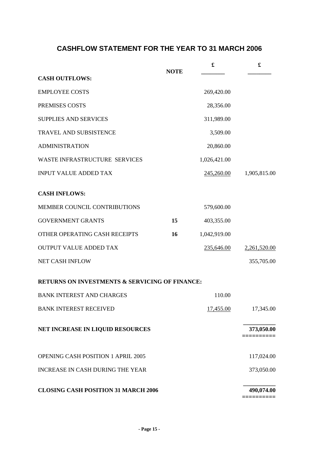# **CASHFLOW STATEMENT FOR THE YEAR TO 31 MARCH 2006**

<span id="page-16-0"></span>

|                                                           | <b>NOTE</b> | £            | £            |
|-----------------------------------------------------------|-------------|--------------|--------------|
| <b>CASH OUTFLOWS:</b>                                     |             |              |              |
| <b>EMPLOYEE COSTS</b>                                     |             | 269,420.00   |              |
| PREMISES COSTS                                            |             | 28,356.00    |              |
| <b>SUPPLIES AND SERVICES</b>                              |             | 311,989.00   |              |
| TRAVEL AND SUBSISTENCE                                    |             | 3,509.00     |              |
| <b>ADMINISTRATION</b>                                     |             | 20,860.00    |              |
| WASTE INFRASTRUCTURE SERVICES                             |             | 1,026,421.00 |              |
| <b>INPUT VALUE ADDED TAX</b>                              |             | 245,260.00   | 1,905,815.00 |
| <b>CASH INFLOWS:</b>                                      |             |              |              |
| MEMBER COUNCIL CONTRIBUTIONS                              |             | 579,600.00   |              |
| <b>GOVERNMENT GRANTS</b>                                  | 15          | 403,355.00   |              |
| OTHER OPERATING CASH RECEIPTS                             | 16          | 1,042,919.00 |              |
| <b>OUTPUT VALUE ADDED TAX</b>                             |             | 235,646.00   | 2,261,520.00 |
| NET CASH INFLOW                                           |             |              | 355,705.00   |
| <b>RETURNS ON INVESTMENTS &amp; SERVICING OF FINANCE:</b> |             |              |              |
| <b>BANK INTEREST AND CHARGES</b>                          |             | 110.00       |              |
| <b>BANK INTEREST RECEIVED</b>                             |             | 17,455.00    | 17,345.00    |
| NET INCREASE IN LIQUID RESOURCES                          |             |              | 373,050.00   |
| OPENING CASH POSITION 1 APRIL 2005                        |             |              | 117,024.00   |
| <b>INCREASE IN CASH DURING THE YEAR</b>                   |             |              | 373,050.00   |
| <b>CLOSING CASH POSITION 31 MARCH 2006</b>                |             |              | 490,074.00   |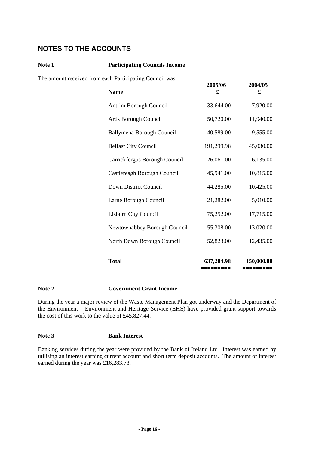# <span id="page-17-0"></span>**NOTES TO THE ACCOUNTS**

#### **Note 1 Participating Councils Income**

The amount received from each Participating Council was:

| <b>Name</b>                      | 2005/06<br>£           | 2004/05<br>£           |
|----------------------------------|------------------------|------------------------|
| Antrim Borough Council           | 33,644.00              | 7.920.00               |
| Ards Borough Council             | 50,720.00              | 11,940.00              |
| <b>Ballymena Borough Council</b> | 40,589.00              | 9,555.00               |
| <b>Belfast City Council</b>      | 191,299.98             | 45,030.00              |
| Carrickfergus Borough Council    | 26,061.00              | 6,135.00               |
| Castlereagh Borough Council      | 45,941.00              | 10,815.00              |
| Down District Council            | 44,285.00              | 10,425.00              |
| Larne Borough Council            | 21,282.00              | 5,010.00               |
| Lisburn City Council             | 75,252.00              | 17,715.00              |
| Newtownabbey Borough Council     | 55,308.00              | 13,020.00              |
| North Down Borough Council       | 52,823.00              | 12,435.00              |
|                                  |                        |                        |
| <b>Total</b>                     | 637,204.98<br>======== | 150,000.00<br>======== |

#### **Note 2 Government Grant Income**

During the year a major review of the Waste Management Plan got underway and the Department of the Environment – Environment and Heritage Service (EHS) have provided grant support towards the cost of this work to the value of £45,827.44.

#### **Note 3 Bank Interest**

Banking services during the year were provided by the Bank of Ireland Ltd. Interest was earned by utilising an interest earning current account and short term deposit accounts. The amount of interest earned during the year was £16,283.73.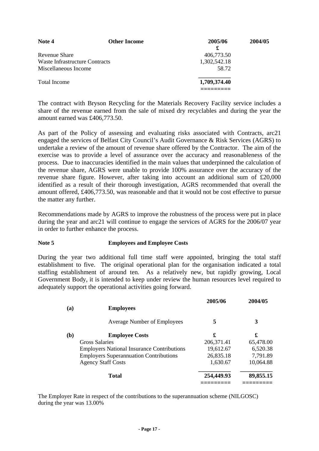| Note 4                         | <b>Other Income</b> | 2005/06      | 2004/05 |
|--------------------------------|---------------------|--------------|---------|
|                                |                     | £            |         |
| Revenue Share                  |                     | 406,773.50   |         |
| Waste Infrastructure Contracts |                     | 1,302,542.18 |         |
| Miscellaneous Income           |                     | 58.72        |         |
| <b>Total Income</b>            |                     | 1,709,374.40 |         |
|                                |                     |              |         |

The contract with Bryson Recycling for the Materials Recovery Facility service includes a share of the revenue earned from the sale of mixed dry recyclables and during the year the amount earned was £406,773.50.

As part of the Policy of assessing and evaluating risks associated with Contracts, arc21 engaged the services of Belfast City Council's Audit Governance & Risk Services (AGRS) to undertake a review of the amount of revenue share offered by the Contractor. The aim of the exercise was to provide a level of assurance over the accuracy and reasonableness of the process. Due to inaccuracies identified in the main values that underpinned the calculation of the revenue share, AGRS were unable to provide 100% assurance over the accuracy of the revenue share figure. However, after taking into account an additional sum of £20,000 identified as a result of their thorough investigation, AGRS recommended that overall the amount offered, £406,773.50, was reasonable and that it would not be cost effective to pursue the matter any further.

Recommendations made by AGRS to improve the robustness of the process were put in place during the year and arc21 will continue to engage the services of AGRS for the 2006/07 year in order to further enhance the process.

#### **Note 5 Employees and Employee Costs**

During the year two additional full time staff were appointed, bringing the total staff establishment to five. The original operational plan for the organisation indicated a total staffing establishment of around ten. As a relatively new, but rapidly growing, Local Government Body, it is intended to keep under review the human resources level required to adequately support the operational activities going forward.

| 2005/06     | 2004/05                                                                                                                                  |
|-------------|------------------------------------------------------------------------------------------------------------------------------------------|
| 5           | 3                                                                                                                                        |
| £           | £                                                                                                                                        |
| 206, 371.41 | 65,478.00                                                                                                                                |
| 19,612.67   | 6,520.38                                                                                                                                 |
| 26,835.18   | 7,791.89                                                                                                                                 |
| 1,630.67    | 10,064.88                                                                                                                                |
| 254,449.93  | 89,855.15                                                                                                                                |
|             | <b>Average Number of Employees</b><br><b>Employers National Insurance Contributions</b><br><b>Employers Superannuation Contributions</b> |

The Employer Rate in respect of the contributions to the superannuation scheme (NILGOSC) during the year was 13.00%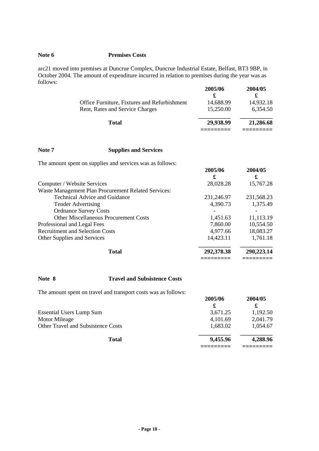#### **Note 6 Premises Costs**

arc21 moved into premises at Duncrue Complex, Duncrue Industrial Estate, Belfast, BT3 9BP, in October 2004. The amount of expenditure incurred in relation to premises during the year was as follows:

|                                              | 2005/06   | 2004/05   |
|----------------------------------------------|-----------|-----------|
|                                              |           |           |
| Office Furniture, Fixtures and Refurbishment | 14,688.99 | 14,932.18 |
| Rent, Rates and Service Charges              | 15,250.00 | 6.354.50  |
| Total                                        | 29,938.99 | 21,286.68 |
|                                              |           |           |

#### **Note 7 Supplies and Services**

The amount spent on supplies and services was as follows:

| The amount spent on supplies and set vices was as follows. | 2005/06<br>£ | 2004/05<br>£ |
|------------------------------------------------------------|--------------|--------------|
| Computer / Website Services                                | 28,028.28    | 15,767.28    |
| Waste Management Plan Procurement Related Services:        |              |              |
| Technical Advice and Guidance                              | 231,246.97   | 231,568.23   |
| <b>Tender Advertising</b>                                  | 4,390.73     | 1,375.49     |
| <b>Ordnance Survey Costs</b>                               |              |              |
| <b>Other Miscellaneous Procurement Costs</b>               | 1,451.63     | 11,113.19    |
| Professional and Legal Fees                                | 7,860.00     | 10,554.50    |
| <b>Recruitment and Selection Costs</b>                     | 4,977.66     | 18,083.27    |
| Other Supplies and Services                                | 14,423.11    | 1,761.18     |
| <b>Total</b>                                               | 292,378.38   | 290,223.14   |
|                                                            |              |              |

#### **Note 8 Travel and Subsistence Costs**

The amount spent on travel and transport costs was as follows:

| The amount spent on travel and transport costs was as rollows. | 2005/06<br>£ | 2004/05  |
|----------------------------------------------------------------|--------------|----------|
| <b>Essential Users Lump Sum</b>                                | 3,671.25     | 1,192.50 |
| Motor Mileage                                                  | 4,101.69     | 2,041.79 |
| <b>Other Travel and Subsistence Costs</b>                      | 1,683.02     | 1,054.67 |
| <b>Total</b>                                                   | 9,455.96     | 4,288.96 |
|                                                                |              |          |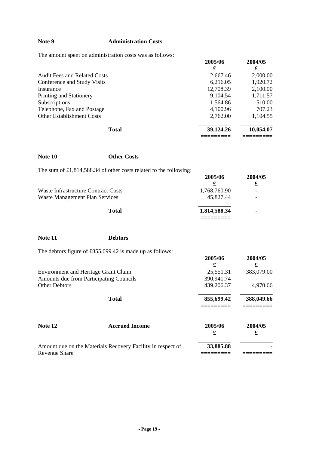## **Note 9 Administration Costs**

The amount spent on administration costs was as follows:

| <u>The amount spent on auministration costs</u> was as follows. | 2005/06   | 2004/05   |
|-----------------------------------------------------------------|-----------|-----------|
|                                                                 | £         | £         |
| <b>Audit Fees and Related Costs</b>                             | 2,667.46  | 2,000.00  |
| Conference and Study Visits                                     | 6,216.05  | 1,920.72  |
| Insurance                                                       | 12,708.39 | 2,100.00  |
| Printing and Stationery                                         | 9,104.54  | 1,711.57  |
| Subscriptions                                                   | 1,564.86  | 510.00    |
| Telephone, Fax and Postage                                      | 4,100.96  | 707.23    |
| <b>Other Establishment Costs</b>                                | 2,762.00  | 1,104.55  |
| <b>Total</b>                                                    | 39,124.26 | 10,054.07 |
|                                                                 |           |           |

| Note 10                                     | <b>Other Costs</b>                                                  |              |              |
|---------------------------------------------|---------------------------------------------------------------------|--------------|--------------|
|                                             | The sum of $£1,814,588.34$ of other costs related to the following: | 2005/06<br>£ | 2004/05<br>£ |
| <b>Waste Infrastructure Contract Costs</b>  |                                                                     | 1,768,760.90 |              |
| <b>Waste Management Plan Services</b>       |                                                                     | 45,827.44    |              |
|                                             | <b>Total</b>                                                        | 1,814,588.34 |              |
| Note 11                                     | <b>Debtors</b>                                                      |              |              |
|                                             |                                                                     |              |              |
|                                             | The debtors figure of $£855,699.42$ is made up as follows:          | 2005/06<br>£ | 2004/05<br>£ |
| <b>Environment and Heritage Grant Claim</b> |                                                                     | 25,551.31    | 383,079.00   |
| Amounts due from Participating Councils     |                                                                     | 390,941.74   |              |
| <b>Other Debtors</b>                        |                                                                     | 439,206.37   | 4,970.66     |
|                                             | <b>Total</b>                                                        | 855,699.42   | 388,049.66   |
| Note 12                                     | <b>Accrued Income</b>                                               | 2005/06      | 2004/05      |

| Amount due on the Materials Recovery Facility in respect of | 33,885.88 |  |
|-------------------------------------------------------------|-----------|--|
| Revenue Share                                               |           |  |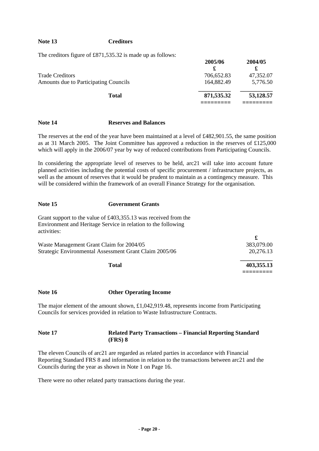#### **Note 13 Creditors**

The creditors figure of £871,535.32 is made up as follows:

|                                       | 2005/06    | 2004/05   |
|---------------------------------------|------------|-----------|
|                                       |            |           |
| <b>Trade Creditors</b>                | 706,652.83 | 47,352.07 |
| Amounts due to Participating Councils | 164,882.49 | 5,776.50  |
| <b>Total</b>                          | 871,535.32 | 53,128.57 |
|                                       |            |           |

#### **Note 14 Reserves and Balances**

The reserves at the end of the year have been maintained at a level of £482,901.55, the same position as at 31 March 2005. The Joint Committee has approved a reduction in the reserves of £125,000 which will apply in the 2006/07 year by way of reduced contributions from Participating Councils.

In considering the appropriate level of reserves to be held, arc21 will take into account future planned activities including the potential costs of specific procurement / infrastructure projects, as well as the amount of reserves that it would be prudent to maintain as a contingency measure. This will be considered within the framework of an overall Finance Strategy for the organisation.

#### **Note 15 Government Grants**

Grant support to the value of £403,355.13 was received from the Environment and Heritage Service in relation to the following activities:

| Waste Management Grant Claim for 2004/05               | 383,079.00 |  |
|--------------------------------------------------------|------------|--|
| Strategic Environmental Assessment Grant Claim 2005/06 | 20.276.13  |  |
| Total                                                  | 403,355.13 |  |
|                                                        |            |  |

#### **Note 16 Other Operating Income**

The major element of the amount shown, £1,042,919.48, represents income from Participating Councils for services provided in relation to Waste Infrastructure Contracts.

#### **Note 17 Related Party Transactions – Financial Reporting Standard (FRS) 8**

The eleven Councils of arc21 are regarded as related parties in accordance with Financial Reporting Standard FRS 8 and information in relation to the transactions between arc21 and the Councils during the year as shown in Note 1 on Page 16.

There were no other related party transactions during the year.